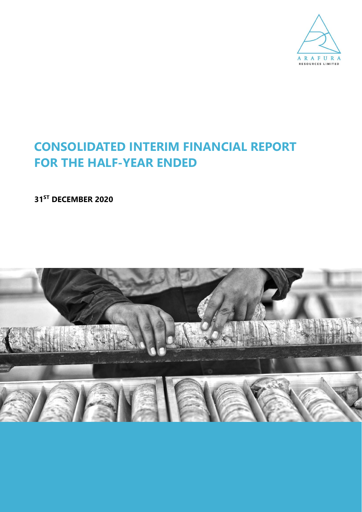

# **CONSOLIDATED INTERIM FINANCIAL REPORT FOR THE HALF-YEAR ENDED**

**31ST DECEMBER 2020**

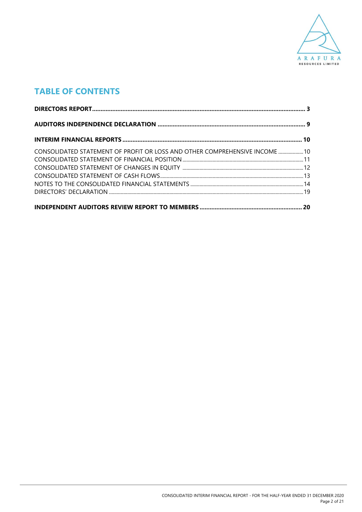

# **TABLE OF CONTENTS**

| CONSOLIDATED STATEMENT OF PROFIT OR LOSS AND OTHER COMPREHENSIVE INCOME  10 |  |
|-----------------------------------------------------------------------------|--|
|                                                                             |  |
|                                                                             |  |
|                                                                             |  |
|                                                                             |  |
|                                                                             |  |
|                                                                             |  |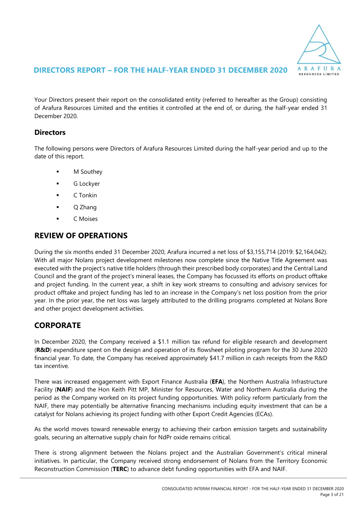

Your Directors present their report on the consolidated entity (referred to hereafter as the Group) consisting of Arafura Resources Limited and the entities it controlled at the end of, or during, the half-year ended 31 December 2020.

### **Directors**

The following persons were Directors of Arafura Resources Limited during the half-year period and up to the date of this report.

- **M** Southey
- G Lockyer
- C Tonkin
- Q Zhang
- C Moises

### **REVIEW OF OPERATIONS**

During the six months ended 31 December 2020, Arafura incurred a net loss of \$3,155,714 (2019: \$2,164,042). With all major Nolans project development milestones now complete since the Native Title Agreement was executed with the project's native title holders (through their prescribed body corporates) and the Central Land Council and the grant of the project's mineral leases, the Company has focussed its efforts on product offtake and project funding. In the current year, a shift in key work streams to consulting and advisory services for product offtake and project funding has led to an increase in the Company's net loss position from the prior year. In the prior year, the net loss was largely attributed to the drilling programs completed at Nolans Bore and other project development activities.

### **CORPORATE**

In December 2020, the Company received a \$1.1 million tax refund for eligible research and development (**R&D**) expenditure spent on the design and operation of its flowsheet piloting program for the 30 June 2020 financial year. To date, the Company has received approximately \$41.7 million in cash receipts from the R&D tax incentive.

There was increased engagement with Export Finance Australia (**EFA**), the Northern Australia Infrastructure Facility (**NAIF**) and the Hon Keith Pitt MP, Minister for Resources, Water and Northern Australia during the period as the Company worked on its project funding opportunities. With policy reform particularly from the NAIF, there may potentially be alternative financing mechanisms including equity investment that can be a catalyst for Nolans achieving its project funding with other Export Credit Agencies (ECAs).

As the world moves toward renewable energy to achieving their carbon emission targets and sustainability goals, securing an alternative supply chain for NdPr oxide remains critical.

There is strong alignment between the Nolans project and the Australian Government's critical mineral initiatives. In particular, the Company received strong endorsement of Nolans from the Territory Economic Reconstruction Commission (**TERC**) to advance debt funding opportunities with EFA and NAIF.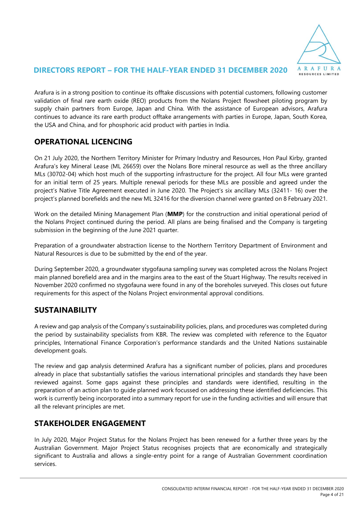

Arafura is in a strong position to continue its offtake discussions with potential customers, following customer validation of final rare earth oxide (REO) products from the Nolans Project flowsheet piloting program by supply chain partners from Europe, Japan and China. With the assistance of European advisors, Arafura continues to advance its rare earth product offtake arrangements with parties in Europe, Japan, South Korea, the USA and China, and for phosphoric acid product with parties in India.

### **OPERATIONAL LICENCING**

On 21 July 2020, the Northern Territory Minister for Primary Industry and Resources, Hon Paul Kirby, granted Arafura's key Mineral Lease (ML 26659) over the Nolans Bore mineral resource as well as the three ancillary MLs (30702-04) which host much of the supporting infrastructure for the project. All four MLs were granted for an initial term of 25 years. Multiple renewal periods for these MLs are possible and agreed under the project's Native Title Agreement executed in June 2020. The Project's six ancillary MLs (32411- 16) over the project's planned borefields and the new ML 32416 for the diversion channel were granted on 8 February 2021.

Work on the detailed Mining Management Plan (**MMP**) for the construction and initial operational period of the Nolans Project continued during the period. All plans are being finalised and the Company is targeting submission in the beginning of the June 2021 quarter.

Preparation of a groundwater abstraction license to the Northern Territory Department of Environment and Natural Resources is due to be submitted by the end of the year.

During September 2020, a groundwater stygofauna sampling survey was completed across the Nolans Project main planned borefield area and in the margins area to the east of the Stuart Highway. The results received in November 2020 confirmed no stygofauna were found in any of the boreholes surveyed. This closes out future requirements for this aspect of the Nolans Project environmental approval conditions.

### **SUSTAINABILITY**

A review and gap analysis of the Company's sustainability policies, plans, and procedures was completed during the period by sustainability specialists from KBR. The review was completed with reference to the Equator principles, International Finance Corporation's performance standards and the United Nations sustainable development goals.

The review and gap analysis determined Arafura has a significant number of policies, plans and procedures already in place that substantially satisfies the various international principles and standards they have been reviewed against. Some gaps against these principles and standards were identified, resulting in the preparation of an action plan to guide planned work focussed on addressing these identified deficiencies. This work is currently being incorporated into a summary report for use in the funding activities and will ensure that all the relevant principles are met.

### **STAKEHOLDER ENGAGEMENT**

In July 2020, Major Project Status for the Nolans Project has been renewed for a further three years by the Australian Government. Major Project Status recognises projects that are economically and strategically significant to Australia and allows a single-entry point for a range of Australian Government coordination services.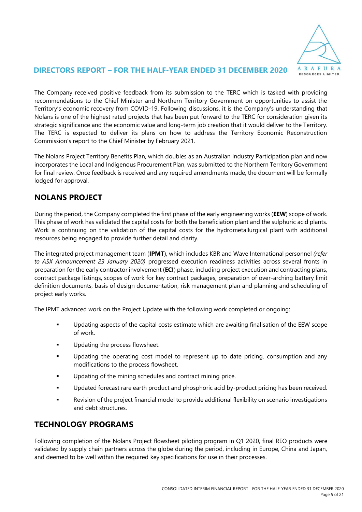

The Company received positive feedback from its submission to the TERC which is tasked with providing recommendations to the Chief Minister and Northern Territory Government on opportunities to assist the Territory's economic recovery from COVID-19. Following discussions, it is the Company's understanding that Nolans is one of the highest rated projects that has been put forward to the TERC for consideration given its strategic significance and the economic value and long-term job creation that it would deliver to the Territory. The TERC is expected to deliver its plans on how to address the Territory Economic Reconstruction Commission's report to the Chief Minister by February 2021.

The Nolans Project Territory Benefits Plan, which doubles as an Australian Industry Participation plan and now incorporates the Local and Indigenous Procurement Plan, was submitted to the Northern Territory Government for final review. Once feedback is received and any required amendments made, the document will be formally lodged for approval.

### **NOLANS PROJECT**

During the period, the Company completed the first phase of the early engineering works (**EEW**) scope of work. This phase of work has validated the capital costs for both the beneficiation plant and the sulphuric acid plants. Work is continuing on the validation of the capital costs for the hydrometallurgical plant with additional resources being engaged to provide further detail and clarity.

The integrated project management team (**IPMT**), which includes KBR and Wave International personnel *(refer to ASX Announcement 23 January 2020)* progressed execution readiness activities across several fronts in preparation for the early contractor involvement (**ECI**) phase, including project execution and contracting plans, contract package listings, scopes of work for key contract packages, preparation of over-arching battery limit definition documents, basis of design documentation, risk management plan and planning and scheduling of project early works.

The IPMT advanced work on the Project Update with the following work completed or ongoing:

- Updating aspects of the capital costs estimate which are awaiting finalisation of the EEW scope of work.
- Updating the process flowsheet.
- Updating the operating cost model to represent up to date pricing, consumption and any modifications to the process flowsheet.
- Updating of the mining schedules and contract mining price.
- Updated forecast rare earth product and phosphoric acid by-product pricing has been received.
- Revision of the project financial model to provide additional flexibility on scenario investigations and debt structures.

### **TECHNOLOGY PROGRAMS**

Following completion of the Nolans Project flowsheet piloting program in Q1 2020, final REO products were validated by supply chain partners across the globe during the period, including in Europe, China and Japan, and deemed to be well within the required key specifications for use in their processes.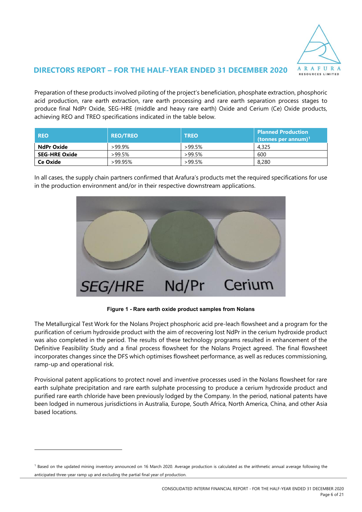

Preparation of these products involved piloting of the project's beneficiation, phosphate extraction, phosphoric acid production, rare earth extraction, rare earth processing and rare earth separation process stages to produce final NdPr Oxide, SEG-HRE (middle and heavy rare earth) Oxide and Cerium (Ce) Oxide products, achieving REO and TREO specifications indicated in the table below.

| <b>REO</b>           | <b>REO/TREO</b> | <b>TREO</b> | <b>Planned Production</b><br>(tonnes per annum) <sup>1</sup> |
|----------------------|-----------------|-------------|--------------------------------------------------------------|
| NdPr Oxide           | $>99.9\%$       | >99.5%      | 4.325                                                        |
| <b>SEG-HRE Oxide</b> | >99.5%          | $>99.5\%$   | 600                                                          |
| Ce Oxide             | >99.95%         | >99.5%      | 8,280                                                        |

In all cases, the supply chain partners confirmed that Arafura's products met the required specifications for use in the production environment and/or in their respective downstream applications.



**Figure 1 - Rare earth oxide product samples from Nolans**

The Metallurgical Test Work for the Nolans Project phosphoric acid pre-leach flowsheet and a program for the purification of cerium hydroxide product with the aim of recovering lost NdPr in the cerium hydroxide product was also completed in the period. The results of these technology programs resulted in enhancement of the Definitive Feasibility Study and a final process flowsheet for the Nolans Project agreed. The final flowsheet incorporates changes since the DFS which optimises flowsheet performance, as well as reduces commissioning, ramp-up and operational risk.

Provisional patent applications to protect novel and inventive processes used in the Nolans flowsheet for rare earth sulphate precipitation and rare earth sulphate processing to produce a cerium hydroxide product and purified rare earth chloride have been previously lodged by the Company. In the period, national patents have been lodged in numerous jurisdictions in Australia, Europe, South Africa, North America, China, and other Asia based locations.

<sup>&</sup>lt;sup>1</sup> Based on the updated mining inventory announced on 16 March 2020. Average production is calculated as the arithmetic annual average following the anticipated three-year ramp up and excluding the partial final year of production.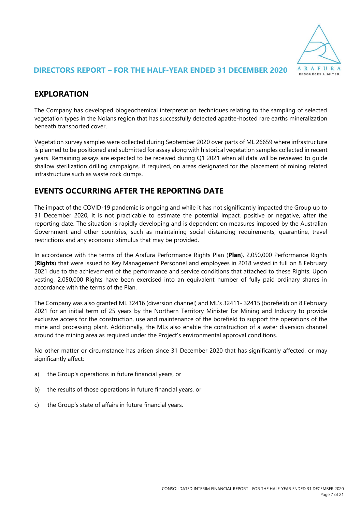

### **EXPLORATION**

The Company has developed biogeochemical interpretation techniques relating to the sampling of selected vegetation types in the Nolans region that has successfully detected apatite-hosted rare earths mineralization beneath transported cover.

Vegetation survey samples were collected during September 2020 over parts of ML 26659 where infrastructure is planned to be positioned and submitted for assay along with historical vegetation samples collected in recent years. Remaining assays are expected to be received during Q1 2021 when all data will be reviewed to guide shallow sterilization drilling campaigns, if required, on areas designated for the placement of mining related infrastructure such as waste rock dumps.

### **EVENTS OCCURRING AFTER THE REPORTING DATE**

The impact of the COVID-19 pandemic is ongoing and while it has not significantly impacted the Group up to 31 December 2020, it is not practicable to estimate the potential impact, positive or negative, after the reporting date. The situation is rapidly developing and is dependent on measures imposed by the Australian Government and other countries, such as maintaining social distancing requirements, quarantine, travel restrictions and any economic stimulus that may be provided.

In accordance with the terms of the Arafura Performance Rights Plan (**Plan**), 2,050,000 Performance Rights (**Rights**) that were issued to Key Management Personnel and employees in 2018 vested in full on 8 February 2021 due to the achievement of the performance and service conditions that attached to these Rights. Upon vesting, 2,050,000 Rights have been exercised into an equivalent number of fully paid ordinary shares in accordance with the terms of the Plan.

The Company was also granted ML 32416 (diversion channel) and ML's 32411- 32415 (borefield) on 8 February 2021 for an initial term of 25 years by the Northern Territory Minister for Mining and Industry to provide exclusive access for the construction, use and maintenance of the borefield to support the operations of the mine and processing plant. Additionally, the MLs also enable the construction of a water diversion channel around the mining area as required under the Project's environmental approval conditions.

No other matter or circumstance has arisen since 31 December 2020 that has significantly affected, or may significantly affect:

- a) the Group's operations in future financial years, or
- b) the results of those operations in future financial years, or
- c) the Group's state of affairs in future financial years.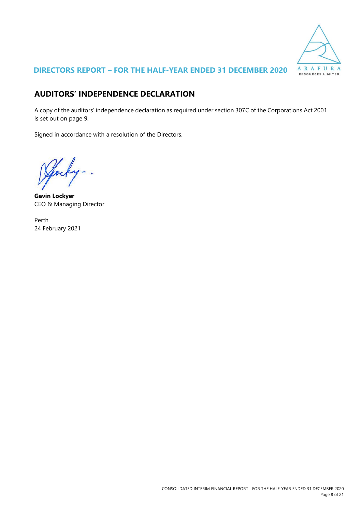

# **AUDITORS' INDEPENDENCE DECLARATION**

A copy of the auditors' independence declaration as required under section 307C of the Corporations Act 2001 is set out on page 9.

Signed in accordance with a resolution of the Directors.

 $\overline{\phantom{a}}$ 

**Gavin Lockyer** CEO & Managing Director

Perth 24 February 2021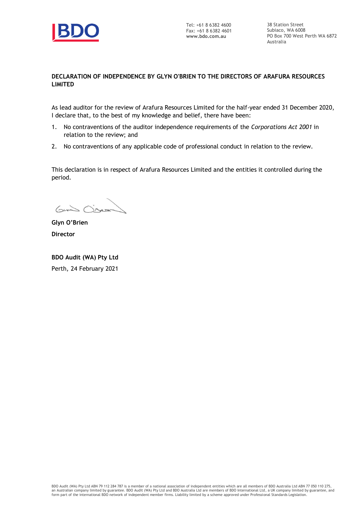

38 Station Street Subiaco, WA 6008 PO Box 700 West Perth WA 6872 Australia

#### **DECLARATION OF INDEPENDENCE BY GLYN O'BRIEN TO THE DIRECTORS OF ARAFURA RESOURCES LIMITED**

As lead auditor for the review of Arafura Resources Limited for the half-year ended 31 December 2020, I declare that, to the best of my knowledge and belief, there have been:

- 1. No contraventions of the auditor independence requirements of the *Corporations Act 2001* in relation to the review; and
- 2. No contraventions of any applicable code of professional conduct in relation to the review.

This declaration is in respect of Arafura Resources Limited and the entities it controlled during the period.

Grand Obser

**Glyn O'Brien Director**

**BDO Audit (WA) Pty Ltd** Perth, 24 February 2021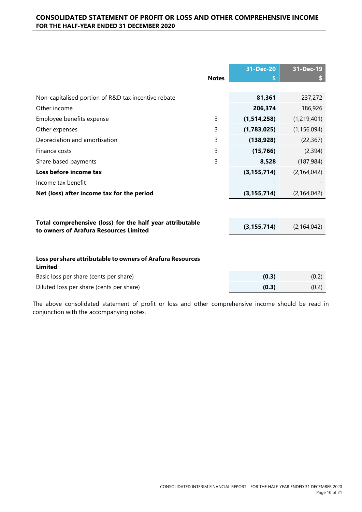|                                                                                                     | <b>Notes</b> | 31-Dec-20     | 31-Dec-19     |
|-----------------------------------------------------------------------------------------------------|--------------|---------------|---------------|
| Non-capitalised portion of R&D tax incentive rebate                                                 |              | 81,361        | 237,272       |
| Other income                                                                                        |              | 206,374       | 186,926       |
| Employee benefits expense                                                                           | 3            | (1,514,258)   | (1, 219, 401) |
| Other expenses                                                                                      | 3            | (1,783,025)   | (1, 156, 094) |
| Depreciation and amortisation                                                                       | 3            | (138, 928)    | (22, 367)     |
| Finance costs                                                                                       | 3            | (15, 766)     | (2, 394)      |
| Share based payments                                                                                | 3            | 8,528         | (187, 984)    |
| Loss before income tax                                                                              |              | (3, 155, 714) | (2, 164, 042) |
| Income tax benefit                                                                                  |              |               |               |
| Net (loss) after income tax for the period                                                          |              | (3, 155, 714) | (2, 164, 042) |
|                                                                                                     |              |               |               |
| Total comprehensive (loss) for the half year attributable<br>to owners of Arafura Resources Limited |              | (3, 155, 714) | (2, 164, 042) |
|                                                                                                     |              |               |               |
| Loss per share attributable to owners of Arafura Resources<br><b>Limited</b>                        |              |               |               |

| Basic loss per share (cents per share)   | (0.3) | (0.2) |
|------------------------------------------|-------|-------|
| Diluted loss per share (cents per share) | (0.3) | (0.2) |

The above consolidated statement of profit or loss and other comprehensive income should be read in conjunction with the accompanying notes.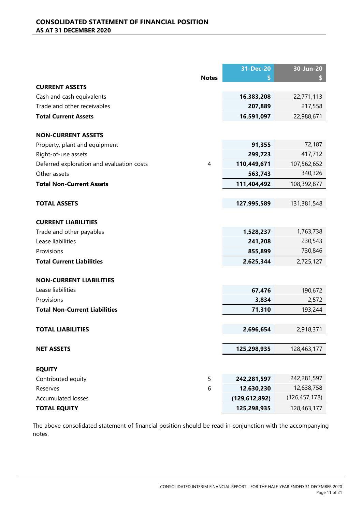|                                           |              | 31-Dec-20       | 30-Jun-20       |
|-------------------------------------------|--------------|-----------------|-----------------|
|                                           | <b>Notes</b> | \$              |                 |
| <b>CURRENT ASSETS</b>                     |              |                 |                 |
| Cash and cash equivalents                 |              | 16,383,208      | 22,771,113      |
| Trade and other receivables               |              | 207,889         | 217,558         |
| <b>Total Current Assets</b>               |              | 16,591,097      | 22,988,671      |
| <b>NON-CURRENT ASSETS</b>                 |              |                 |                 |
| Property, plant and equipment             |              | 91,355          | 72,187          |
| Right-of-use assets                       |              | 299,723         | 417,712         |
| Deferred exploration and evaluation costs | 4            | 110,449,671     | 107,562,652     |
| Other assets                              |              | 563,743         | 340,326         |
| <b>Total Non-Current Assets</b>           |              | 111,404,492     | 108,392,877     |
| <b>TOTAL ASSETS</b>                       |              | 127,995,589     | 131,381,548     |
|                                           |              |                 |                 |
| <b>CURRENT LIABILITIES</b>                |              |                 |                 |
| Trade and other payables                  |              | 1,528,237       | 1,763,738       |
| Lease liabilities                         |              | 241,208         | 230,543         |
| Provisions                                |              | 855,899         | 730,846         |
| <b>Total Current Liabilities</b>          |              | 2,625,344       | 2,725,127       |
| <b>NON-CURRENT LIABILITIES</b>            |              |                 |                 |
| Lease liabilities                         |              | 67,476          | 190,672         |
| Provisions                                |              | 3,834           | 2,572           |
| <b>Total Non-Current Liabilities</b>      |              | 71,310          | 193,244         |
|                                           |              |                 |                 |
| <b>TOTAL LIABILITIES</b>                  |              | 2,696,654       | 2,918,371       |
| <b>NET ASSETS</b>                         |              | 125,298,935     | 128,463,177     |
| <b>EQUITY</b>                             |              |                 |                 |
| Contributed equity                        | 5            | 242,281,597     | 242,281,597     |
| Reserves                                  | 6            | 12,630,230      | 12,638,758      |
| <b>Accumulated losses</b>                 |              | (129, 612, 892) | (126, 457, 178) |
| <b>TOTAL EQUITY</b>                       |              | 125,298,935     | 128,463,177     |

The above consolidated statement of financial position should be read in conjunction with the accompanying notes.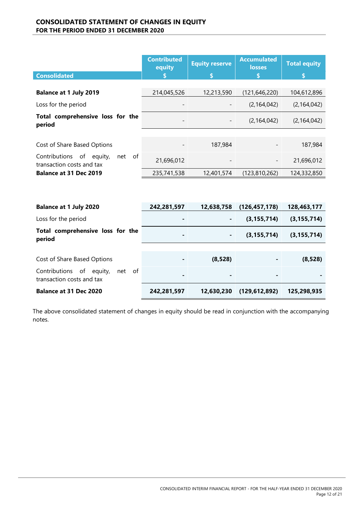#### **CONSOLIDATED STATEMENT OF CHANGES IN EQUITY FOR THE PERIOD ENDED 31 DECEMBER 2020**

|                                                                          | <b>Contributed</b><br>equity | <b>Equity reserve</b> | <b>Accumulated</b><br><b>losses</b> | <b>Total equity</b> |
|--------------------------------------------------------------------------|------------------------------|-----------------------|-------------------------------------|---------------------|
| <b>Consolidated</b>                                                      |                              |                       |                                     |                     |
|                                                                          |                              |                       |                                     |                     |
| <b>Balance at 1 July 2019</b>                                            | 214,045,526                  | 12,213,590            | (121, 646, 220)                     | 104,612,896         |
| Loss for the period                                                      |                              |                       | (2, 164, 042)                       | (2, 164, 042)       |
| Total comprehensive loss for the<br>period                               |                              | -                     | (2, 164, 042)                       | (2, 164, 042)       |
|                                                                          |                              |                       |                                     |                     |
| Cost of Share Based Options                                              |                              | 187,984               |                                     | 187,984             |
| Contributions<br>of<br>of<br>equity,<br>net<br>transaction costs and tax | 21,696,012                   |                       | -                                   | 21,696,012          |
| Balance at 31 Dec 2019                                                   | 235,741,538                  | 12,401,574            | (123, 810, 262)                     | 124,332,850         |
|                                                                          |                              |                       |                                     |                     |

| <b>Balance at 1 July 2020</b>                                      | 242,281,597 | 12,638,758 | (126, 457, 178) | 128,463,177   |
|--------------------------------------------------------------------|-------------|------------|-----------------|---------------|
| Loss for the period                                                |             | ٠          | (3, 155, 714)   | (3, 155, 714) |
| Total comprehensive loss for the<br>period                         |             |            | (3, 155, 714)   | (3, 155, 714) |
|                                                                    |             |            |                 |               |
| Cost of Share Based Options                                        |             | (8, 528)   |                 | (8, 528)      |
| Contributions of<br>equity,<br>net of<br>transaction costs and tax |             |            |                 |               |
| <b>Balance at 31 Dec 2020</b>                                      | 242,281,597 | 12,630,230 | (129, 612, 892) | 125,298,935   |

The above consolidated statement of changes in equity should be read in conjunction with the accompanying notes.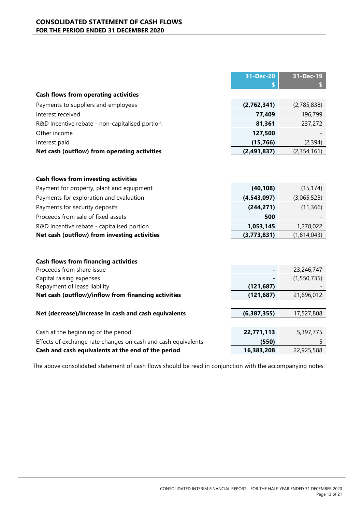#### **CONSOLIDATED STATEMENT OF CASH FLOWS FOR THE PERIOD ENDED 31 DECEMBER 2020**

|                                                               | 31-Dec-20     | 31-Dec-19   |
|---------------------------------------------------------------|---------------|-------------|
|                                                               |               |             |
| <b>Cash flows from operating activities</b>                   |               |             |
| Payments to suppliers and employees                           | (2,762,341)   | (2,785,838) |
| Interest received                                             | 77,409        | 196,799     |
| R&D Incentive rebate - non-capitalised portion                | 81,361        | 237,272     |
| Other income                                                  | 127,500       |             |
| Interest paid                                                 | (15, 766)     | (2, 394)    |
| Net cash (outflow) from operating activities                  | (2,491,837)   | (2,354,161) |
|                                                               |               |             |
|                                                               |               |             |
| <b>Cash flows from investing activities</b>                   |               |             |
| Payment for property, plant and equipment                     | (40, 108)     | (15, 174)   |
| Payments for exploration and evaluation                       | (4, 543, 097) | (3,065,525) |
| Payments for security deposits                                | (244, 271)    | (11, 366)   |
| Proceeds from sale of fixed assets                            | 500           |             |
| R&D Incentive rebate - capitalised portion                    | 1,053,145     | 1,278,022   |
| Net cash (outflow) from investing activities                  | (3,773,831)   | (1,814,043) |
|                                                               |               |             |
|                                                               |               |             |
| <b>Cash flows from financing activities</b>                   |               |             |
| Proceeds from share issue                                     |               | 23,246,747  |
| Capital raising expenses                                      |               | (1,550,735) |
| Repayment of lease liability                                  | (121, 687)    |             |
| Net cash (outflow)/inflow from financing activities           | (121, 687)    | 21,696,012  |
|                                                               |               |             |
| Net (decrease)/increase in cash and cash equivalents          | (6, 387, 355) | 17,527,808  |
|                                                               |               |             |
| Cash at the beginning of the period                           | 22,771,113    | 5,397,775   |
| Effects of exchange rate changes on cash and cash equivalents | (550)         | 5           |
| Cash and cash equivalents at the end of the period            | 16,383,208    | 22,925,588  |

The above consolidated statement of cash flows should be read in conjunction with the accompanying notes.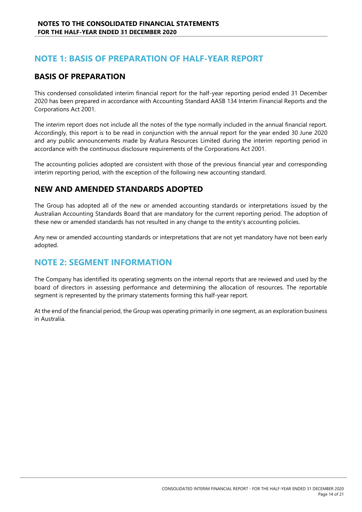# **NOTE 1: BASIS OF PREPARATION OF HALF-YEAR REPORT**

### **BASIS OF PREPARATION**

This condensed consolidated interim financial report for the half-year reporting period ended 31 December 2020 has been prepared in accordance with Accounting Standard AASB 134 Interim Financial Reports and the Corporations Act 2001.

The interim report does not include all the notes of the type normally included in the annual financial report. Accordingly, this report is to be read in conjunction with the annual report for the year ended 30 June 2020 and any public announcements made by Arafura Resources Limited during the interim reporting period in accordance with the continuous disclosure requirements of the Corporations Act 2001.

The accounting policies adopted are consistent with those of the previous financial year and corresponding interim reporting period, with the exception of the following new accounting standard.

### **NEW AND AMENDED STANDARDS ADOPTED**

The Group has adopted all of the new or amended accounting standards or interpretations issued by the Australian Accounting Standards Board that are mandatory for the current reporting period. The adoption of these new or amended standards has not resulted in any change to the entity's accounting policies.

Any new or amended accounting standards or interpretations that are not yet mandatory have not been early adopted.

# **NOTE 2: SEGMENT INFORMATION**

The Company has identified its operating segments on the internal reports that are reviewed and used by the board of directors in assessing performance and determining the allocation of resources. The reportable segment is represented by the primary statements forming this half-year report.

At the end of the financial period, the Group was operating primarily in one segment, as an exploration business in Australia.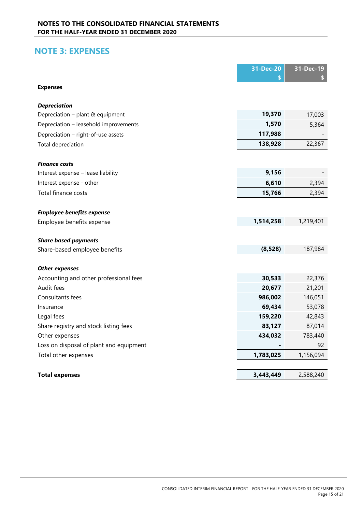# **NOTE 3: EXPENSES**

|                                         | 31-Dec-20 | 31-Dec-19 |
|-----------------------------------------|-----------|-----------|
|                                         |           |           |
| <b>Expenses</b>                         |           |           |
|                                         |           |           |
| <b>Depreciation</b>                     | 19,370    |           |
| Depreciation - plant & equipment        | 1,570     | 17,003    |
| Depreciation - leasehold improvements   |           | 5,364     |
| Depreciation - right-of-use assets      | 117,988   |           |
| <b>Total depreciation</b>               | 138,928   | 22,367    |
| <b>Finance costs</b>                    |           |           |
| Interest expense - lease liability      | 9,156     |           |
| Interest expense - other                | 6,610     | 2,394     |
| Total finance costs                     | 15,766    | 2,394     |
|                                         |           |           |
| <b>Employee benefits expense</b>        |           |           |
| Employee benefits expense               | 1,514,258 | 1,219,401 |
|                                         |           |           |
| <b>Share based payments</b>             |           |           |
| Share-based employee benefits           | (8, 528)  | 187,984   |
| <b>Other expenses</b>                   |           |           |
| Accounting and other professional fees  | 30,533    | 22,376    |
| Audit fees                              | 20,677    | 21,201    |
| Consultants fees                        | 986,002   | 146,051   |
| Insurance                               | 69,434    | 53,078    |
| Legal fees                              | 159,220   | 42,843    |
| Share registry and stock listing fees   | 83,127    | 87,014    |
| Other expenses                          | 434,032   | 783,440   |
| Loss on disposal of plant and equipment |           | 92        |
| Total other expenses                    | 1,783,025 | 1,156,094 |
|                                         |           |           |
| <b>Total expenses</b>                   | 3,443,449 | 2,588,240 |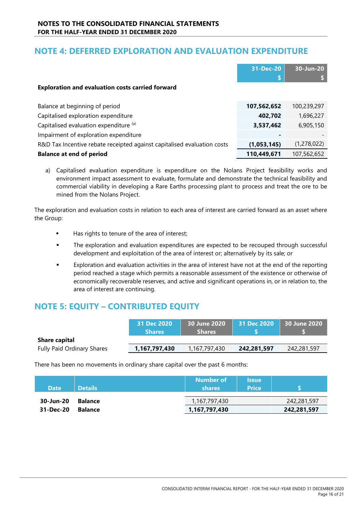# **NOTE 4: DEFERRED EXPLORATION AND EVALUATION EXPENDITURE**

|                                                                         | 31-Dec-20   | 30-Jun-20   |
|-------------------------------------------------------------------------|-------------|-------------|
|                                                                         | c<br>D.     |             |
| <b>Exploration and evaluation costs carried forward</b>                 |             |             |
|                                                                         |             |             |
| Balance at beginning of period                                          | 107,562,652 | 100,239,297 |
| Capitalised exploration expenditure                                     | 402,702     | 1,696,227   |
| Capitalised evaluation expenditure (a)                                  | 3,537,462   | 6,905,150   |
| Impairment of exploration expenditure                                   |             |             |
| R&D Tax Incentive rebate receipted against capitalised evaluation costs | (1,053,145) | (1,278,022) |
| <b>Balance at end of period</b>                                         | 110,449,671 | 107,562,652 |

a) Capitalised evaluation expenditure is expenditure on the Nolans Project feasibility works and environment impact assessment to evaluate, formulate and demonstrate the technical feasibility and commercial viability in developing a Rare Earths processing plant to process and treat the ore to be mined from the Nolans Project.

The exploration and evaluation costs in relation to each area of interest are carried forward as an asset where the Group:

- Has rights to tenure of the area of interest;
- The exploration and evaluation expenditures are expected to be recouped through successful development and exploitation of the area of interest or; alternatively by its sale; or
- Exploration and evaluation activities in the area of interest have not at the end of the reporting period reached a stage which permits a reasonable assessment of the existence or otherwise of economically recoverable reserves, and active and significant operations in, or in relation to, the area of interest are continuing.

# **NOTE 5: EQUITY – CONTRIBUTED EQUITY**

|                                   | 31 Dec 2020<br><b>Shares</b> | 30 June 2020<br><b>Shares</b> | $\vert$ 31 Dec 2020 $\vert$ 30 June 2020 $\vert$ |             |
|-----------------------------------|------------------------------|-------------------------------|--------------------------------------------------|-------------|
| <b>Share capital</b>              |                              |                               |                                                  |             |
| <b>Fully Paid Ordinary Shares</b> | 1,167,797,430                | 1,167,797,430                 | 242,281,597                                      | 242,281,597 |

There has been no movements in ordinary share capital over the past 6 months:

| <b>Date</b> | <b>Details</b> | <b>Number of</b><br><b>shares</b> | <b>Issue</b><br><b>Price</b> |             |
|-------------|----------------|-----------------------------------|------------------------------|-------------|
| 30-Jun-20   | <b>Balance</b> | 1,167,797,430                     |                              | 242,281,597 |
| 31-Dec-20   | <b>Balance</b> | 1,167,797,430                     |                              | 242,281,597 |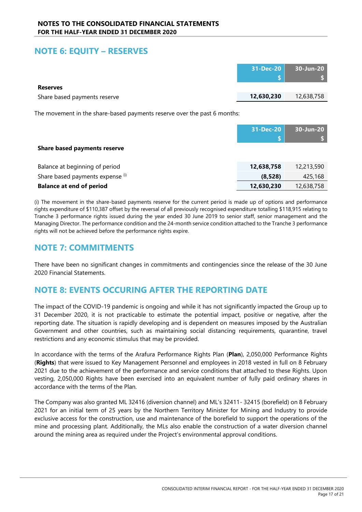# **NOTE 6: EQUITY – RESERVES**

|                              |            | 31-Dec-20 30-Jun-20 |
|------------------------------|------------|---------------------|
| <b>Reserves</b>              |            |                     |
| Share based payments reserve | 12,630,230 | 12,638,758          |

The movement in the share-based payments reserve over the past 6 months:

|                                     | 31-Dec-20  | 30-Jun-20  |
|-------------------------------------|------------|------------|
|                                     |            |            |
| <b>Share based payments reserve</b> |            |            |
|                                     |            |            |
| Balance at beginning of period      | 12,638,758 | 12,213,590 |
| Share based payments expense (i)    | (8,528)    | 425,168    |
| <b>Balance at end of period</b>     | 12,630,230 | 12,638,758 |

(i) The movement in the share-based payments reserve for the current period is made up of options and performance rights expenditure of \$110,387 offset by the reversal of all previously recognised expenditure totalling \$118,915 relating to Tranche 3 performance rights issued during the year ended 30 June 2019 to senior staff, senior management and the Managing Director. The performance condition and the 24-month service condition attached to the Tranche 3 performance rights will not be achieved before the performance rights expire.

# **NOTE 7: COMMITMENTS**

There have been no significant changes in commitments and contingencies since the release of the 30 June 2020 Financial Statements.

# **NOTE 8: EVENTS OCCURING AFTER THE REPORTING DATE**

The impact of the COVID-19 pandemic is ongoing and while it has not significantly impacted the Group up to 31 December 2020, it is not practicable to estimate the potential impact, positive or negative, after the reporting date. The situation is rapidly developing and is dependent on measures imposed by the Australian Government and other countries, such as maintaining social distancing requirements, quarantine, travel restrictions and any economic stimulus that may be provided.

In accordance with the terms of the Arafura Performance Rights Plan (**Plan**), 2,050,000 Performance Rights (**Rights**) that were issued to Key Management Personnel and employees in 2018 vested in full on 8 February 2021 due to the achievement of the performance and service conditions that attached to these Rights. Upon vesting, 2,050,000 Rights have been exercised into an equivalent number of fully paid ordinary shares in accordance with the terms of the Plan.

The Company was also granted ML 32416 (diversion channel) and ML's 32411- 32415 (borefield) on 8 February 2021 for an initial term of 25 years by the Northern Territory Minister for Mining and Industry to provide exclusive access for the construction, use and maintenance of the borefield to support the operations of the mine and processing plant. Additionally, the MLs also enable the construction of a water diversion channel around the mining area as required under the Project's environmental approval conditions.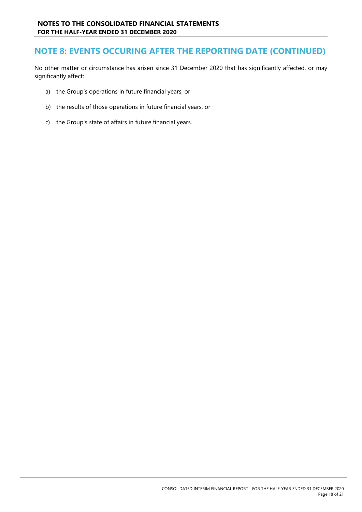### **NOTE 8: EVENTS OCCURING AFTER THE REPORTING DATE (CONTINUED)**

No other matter or circumstance has arisen since 31 December 2020 that has significantly affected, or may significantly affect:

- a) the Group's operations in future financial years, or
- b) the results of those operations in future financial years, or
- c) the Group's state of affairs in future financial years.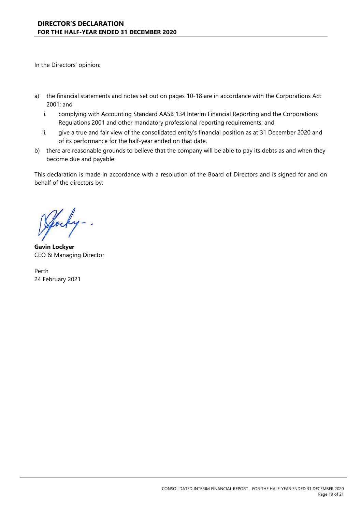In the Directors' opinion:

- a) the financial statements and notes set out on pages 10-18 are in accordance with the Corporations Act 2001; and
	- i. complying with Accounting Standard AASB 134 Interim Financial Reporting and the Corporations Regulations 2001 and other mandatory professional reporting requirements; and
	- ii. give a true and fair view of the consolidated entity's financial position as at 31 December 2020 and of its performance for the half-year ended on that date.
- b) there are reasonable grounds to believe that the company will be able to pay its debts as and when they become due and payable.

This declaration is made in accordance with a resolution of the Board of Directors and is signed for and on behalf of the directors by:

**Gavin Lockyer** CEO & Managing Director

Perth 24 February 2021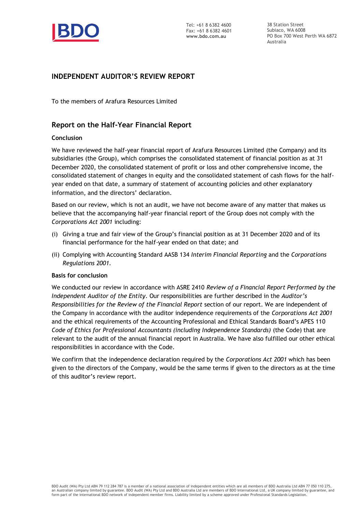

38 Station Street Subiaco, WA 6008 PO Box 700 West Perth WA 6872 Australia

### **INDEPENDENT AUDITOR'S REVIEW REPORT**

To the members of Arafura Resources Limited

### **Report on the Half-Year Financial Report**

#### **Conclusion**

We have reviewed the half-year financial report of Arafura Resources Limited (the Company) and its subsidiaries (the Group), which comprises the consolidated statement of financial position as at 31 December 2020, the consolidated statement of profit or loss and other comprehensive income, the consolidated statement of changes in equity and the consolidated statement of cash flows for the halfyear ended on that date, a summary of statement of accounting policies and other explanatory information, and the directors' declaration.

Based on our review, which is not an audit, we have not become aware of any matter that makes us believe that the accompanying half-year financial report of the Group does not comply with the *Corporations Act 2001* including:

- (i) Giving a true and fair view of the Group's financial position as at 31 December 2020 and of its financial performance for the half-year ended on that date; and
- (ii) Complying with Accounting Standard AASB 134 *Interim Financial Reporting* and the *Corporations Regulations 2001.*

#### **Basis for conclusion**

We conducted our review in accordance with ASRE 2410 *Review of a Financial Report Performed by the Independent Auditor of the Entity*. Our responsibilities are further described in the *Auditor's Responsibilities for the Review of the Financial Report* section of our report. We are independent of the Company in accordance with the auditor independence requirements of the *Corporations Act 2001* and the ethical requirements of the Accounting Professional and Ethical Standards Board's APES 110 *Code of Ethics for Professional Accountants (including Independence Standards)* (the Code) that are relevant to the audit of the annual financial report in Australia. We have also fulfilled our other ethical responsibilities in accordance with the Code.

We confirm that the independence declaration required by the *Corporations Act 2001* which has been given to the directors of the Company, would be the same terms if given to the directors as at the time of this auditor's review report.